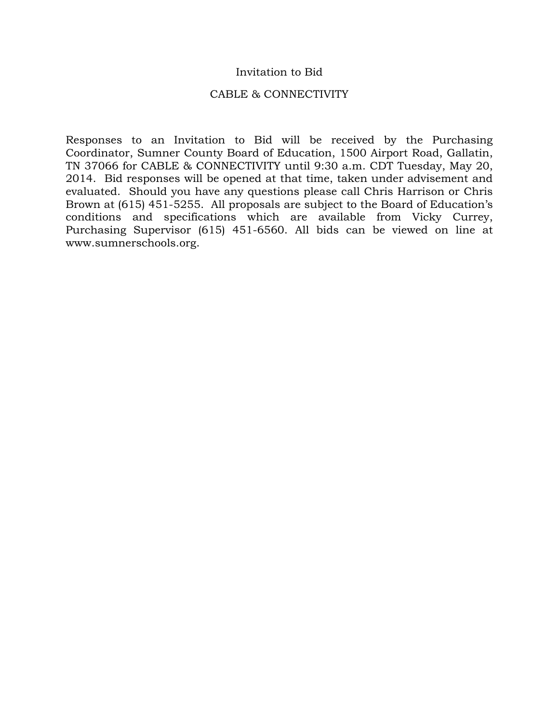#### Invitation to Bid

#### CABLE & CONNECTIVITY

Responses to an Invitation to Bid will be received by the Purchasing Coordinator, Sumner County Board of Education, 1500 Airport Road, Gallatin, TN 37066 for CABLE & CONNECTIVITY until 9:30 a.m. CDT Tuesday, May 20, 2014. Bid responses will be opened at that time, taken under advisement and evaluated. Should you have any questions please call Chris Harrison or Chris Brown at (615) 451-5255. All proposals are subject to the Board of Education's conditions and specifications which are available from Vicky Currey, Purchasing Supervisor (615) 451-6560. All bids can be viewed on line at www.sumnerschools.org.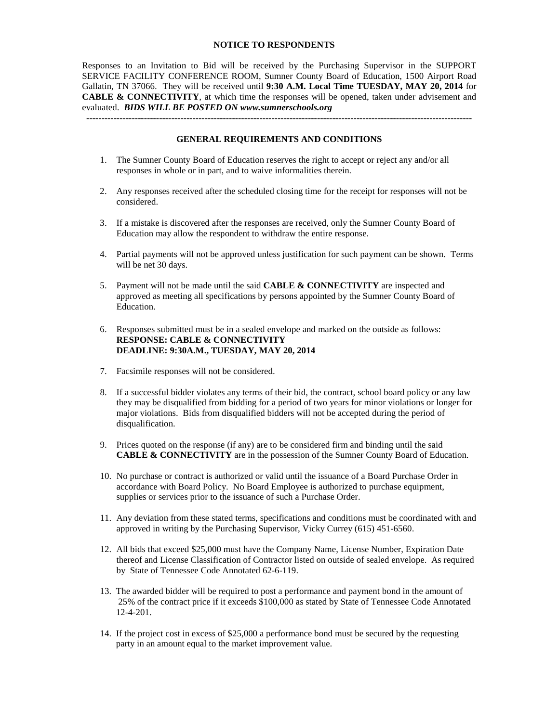#### **NOTICE TO RESPONDENTS**

Responses to an Invitation to Bid will be received by the Purchasing Supervisor in the SUPPORT SERVICE FACILITY CONFERENCE ROOM, Sumner County Board of Education, 1500 Airport Road Gallatin, TN 37066. They will be received until **9:30 A.M. Local Time TUESDAY, MAY 20, 2014** for **CABLE & CONNECTIVITY**, at which time the responses will be opened, taken under advisement and evaluated. *BIDS WILL BE POSTED ON www.sumnerschools.org*

#### **GENERAL REQUIREMENTS AND CONDITIONS**

-------------------------------------------------------------------------------------------------------------------------------

- 1. The Sumner County Board of Education reserves the right to accept or reject any and/or all responses in whole or in part, and to waive informalities therein.
- 2. Any responses received after the scheduled closing time for the receipt for responses will not be considered.
- 3. If a mistake is discovered after the responses are received, only the Sumner County Board of Education may allow the respondent to withdraw the entire response.
- 4. Partial payments will not be approved unless justification for such payment can be shown. Terms will be net 30 days.
- 5. Payment will not be made until the said **CABLE & CONNECTIVITY** are inspected and approved as meeting all specifications by persons appointed by the Sumner County Board of Education.
- 6. Responses submitted must be in a sealed envelope and marked on the outside as follows: **RESPONSE: CABLE & CONNECTIVITY DEADLINE: 9:30A.M., TUESDAY, MAY 20, 2014**
- 7. Facsimile responses will not be considered.
- 8. If a successful bidder violates any terms of their bid, the contract, school board policy or any law they may be disqualified from bidding for a period of two years for minor violations or longer for major violations. Bids from disqualified bidders will not be accepted during the period of disqualification.
- 9. Prices quoted on the response (if any) are to be considered firm and binding until the said **CABLE & CONNECTIVITY** are in the possession of the Sumner County Board of Education.
- 10. No purchase or contract is authorized or valid until the issuance of a Board Purchase Order in accordance with Board Policy. No Board Employee is authorized to purchase equipment, supplies or services prior to the issuance of such a Purchase Order.
- 11. Any deviation from these stated terms, specifications and conditions must be coordinated with and approved in writing by the Purchasing Supervisor, Vicky Currey (615) 451-6560.
- 12. All bids that exceed \$25,000 must have the Company Name, License Number, Expiration Date thereof and License Classification of Contractor listed on outside of sealed envelope. As required by State of Tennessee Code Annotated 62-6-119.
- 13. The awarded bidder will be required to post a performance and payment bond in the amount of 25% of the contract price if it exceeds \$100,000 as stated by State of Tennessee Code Annotated 12-4-201.
- 14. If the project cost in excess of \$25,000 a performance bond must be secured by the requesting party in an amount equal to the market improvement value.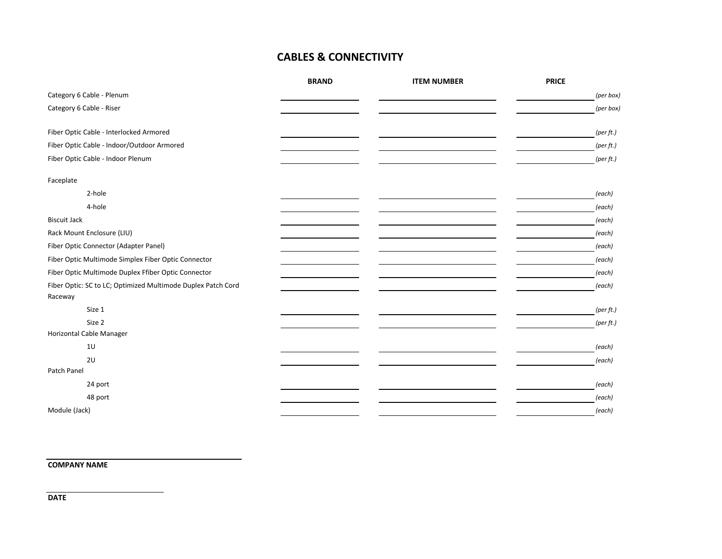# **CABLES & CONNECTIVITY**

|                                                              | <b>BRAND</b> | <b>ITEM NUMBER</b> | <b>PRICE</b> |           |
|--------------------------------------------------------------|--------------|--------------------|--------------|-----------|
| Category 6 Cable - Plenum                                    |              |                    |              | (per box) |
| Category 6 Cable - Riser                                     |              |                    |              | (per box) |
|                                                              |              |                    |              |           |
| Fiber Optic Cable - Interlocked Armored                      |              |                    |              | (per ft.) |
| Fiber Optic Cable - Indoor/Outdoor Armored                   |              |                    |              | (per ft.) |
| Fiber Optic Cable - Indoor Plenum                            |              |                    |              | (per ft.) |
| Faceplate                                                    |              |                    |              |           |
| 2-hole                                                       |              |                    |              | (each)    |
| 4-hole                                                       |              |                    |              | (each)    |
| <b>Biscuit Jack</b>                                          |              |                    |              | (each)    |
| Rack Mount Enclosure (LIU)                                   |              |                    |              | (each)    |
| Fiber Optic Connector (Adapter Panel)                        |              |                    |              | (each)    |
| Fiber Optic Multimode Simplex Fiber Optic Connector          |              |                    |              | (each)    |
| Fiber Optic Multimode Duplex Ffiber Optic Connector          |              |                    |              | (each)    |
| Fiber Optic: SC to LC; Optimized Multimode Duplex Patch Cord |              |                    |              | (each)    |
| Raceway                                                      |              |                    |              |           |
| Size 1                                                       |              |                    |              | (per ft.) |
| Size 2                                                       |              |                    |              | (per ft.) |
| Horizontal Cable Manager                                     |              |                    |              |           |
| 10                                                           |              |                    |              | (each)    |
| 2U                                                           |              |                    |              | (each)    |
| Patch Panel                                                  |              |                    |              |           |
| 24 port                                                      |              |                    |              | (each)    |
| 48 port                                                      |              |                    |              | (each)    |
| Module (Jack)                                                |              |                    |              | (each)    |

**COMPANY NAME**

**DATE**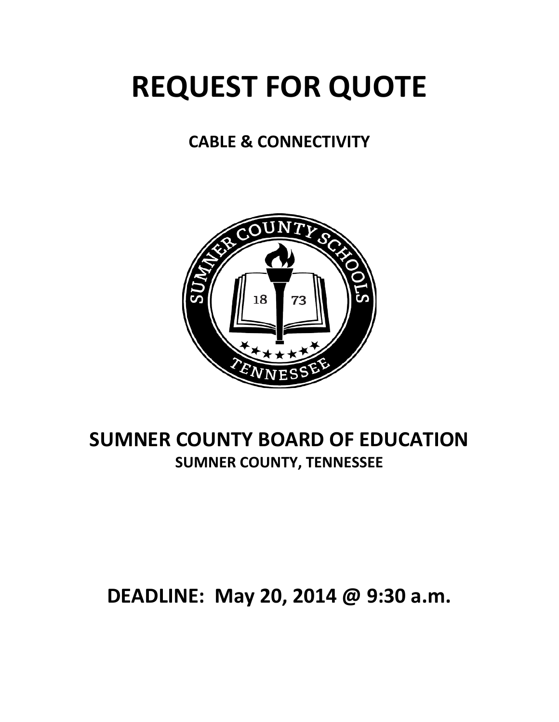# **REQUEST FOR QUOTE**

# **CABLE & CONNECTIVITY**



# **SUMNER COUNTY BOARD OF EDUCATION SUMNER COUNTY, TENNESSEE**

# **DEADLINE: May 20, 2014 @ 9:30 a.m.**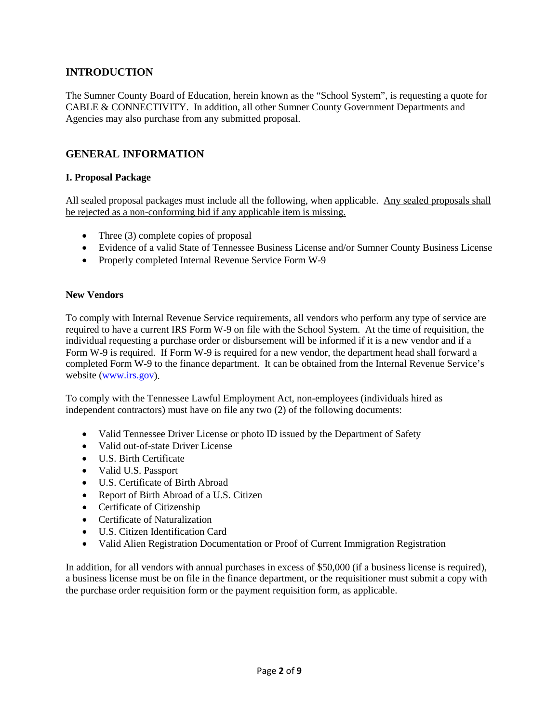# **INTRODUCTION**

The Sumner County Board of Education, herein known as the "School System", is requesting a quote for CABLE & CONNECTIVITY. In addition, all other Sumner County Government Departments and Agencies may also purchase from any submitted proposal.

# **GENERAL INFORMATION**

#### **I. Proposal Package**

All sealed proposal packages must include all the following, when applicable. Any sealed proposals shall be rejected as a non-conforming bid if any applicable item is missing.

- Three (3) complete copies of proposal
- Evidence of a valid State of Tennessee Business License and/or Sumner County Business License
- Properly completed Internal Revenue Service Form W-9

#### **New Vendors**

To comply with Internal Revenue Service requirements, all vendors who perform any type of service are required to have a current IRS Form W-9 on file with the School System. At the time of requisition, the individual requesting a purchase order or disbursement will be informed if it is a new vendor and if a Form W-9 is required. If Form W-9 is required for a new vendor, the department head shall forward a completed Form W-9 to the finance department. It can be obtained from the Internal Revenue Service's website [\(www.irs.gov\)](http://www.irs.gov/).

To comply with the Tennessee Lawful Employment Act, non-employees (individuals hired as independent contractors) must have on file any two (2) of the following documents:

- Valid Tennessee Driver License or photo ID issued by the Department of Safety
- Valid out-of-state Driver License
- U.S. Birth Certificate
- Valid U.S. Passport
- U.S. Certificate of Birth Abroad
- Report of Birth Abroad of a U.S. Citizen
- Certificate of Citizenship
- Certificate of Naturalization
- U.S. Citizen Identification Card
- Valid Alien Registration Documentation or Proof of Current Immigration Registration

In addition, for all vendors with annual purchases in excess of \$50,000 (if a business license is required), a business license must be on file in the finance department, or the requisitioner must submit a copy with the purchase order requisition form or the payment requisition form, as applicable.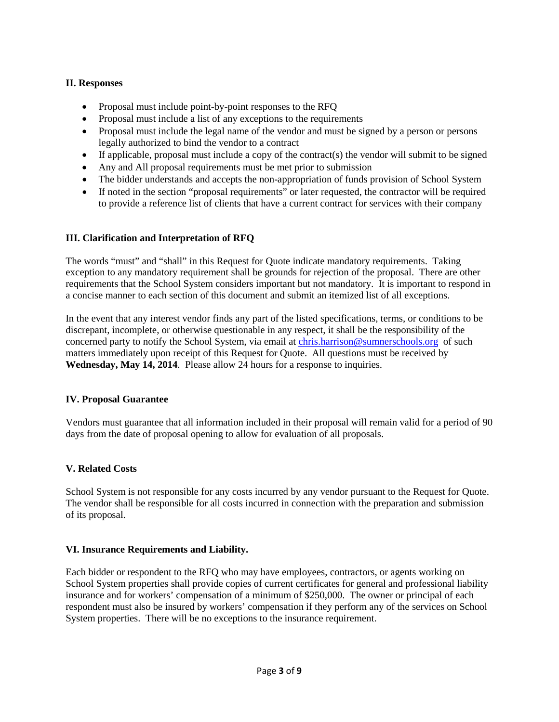### **II. Responses**

- Proposal must include point-by-point responses to the RFQ
- Proposal must include a list of any exceptions to the requirements
- Proposal must include the legal name of the vendor and must be signed by a person or persons legally authorized to bind the vendor to a contract
- If applicable, proposal must include a copy of the contract(s) the vendor will submit to be signed
- Any and All proposal requirements must be met prior to submission
- The bidder understands and accepts the non-appropriation of funds provision of School System
- If noted in the section "proposal requirements" or later requested, the contractor will be required to provide a reference list of clients that have a current contract for services with their company

### **III. Clarification and Interpretation of RFQ**

The words "must" and "shall" in this Request for Quote indicate mandatory requirements. Taking exception to any mandatory requirement shall be grounds for rejection of the proposal. There are other requirements that the School System considers important but not mandatory. It is important to respond in a concise manner to each section of this document and submit an itemized list of all exceptions.

In the event that any interest vendor finds any part of the listed specifications, terms, or conditions to be discrepant, incomplete, or otherwise questionable in any respect, it shall be the responsibility of the concerned party to notify the School System, via email at [chris.harrison@sumnerschools.org](mailto:chris.harrison@sumnerschools.org) of such matters immediately upon receipt of this Request for Quote. All questions must be received by **Wednesday, May 14, 2014**. Please allow 24 hours for a response to inquiries.

#### **IV. Proposal Guarantee**

Vendors must guarantee that all information included in their proposal will remain valid for a period of 90 days from the date of proposal opening to allow for evaluation of all proposals.

#### **V. Related Costs**

School System is not responsible for any costs incurred by any vendor pursuant to the Request for Quote. The vendor shall be responsible for all costs incurred in connection with the preparation and submission of its proposal.

#### **VI. Insurance Requirements and Liability.**

Each bidder or respondent to the RFQ who may have employees, contractors, or agents working on School System properties shall provide copies of current certificates for general and professional liability insurance and for workers' compensation of a minimum of \$250,000. The owner or principal of each respondent must also be insured by workers' compensation if they perform any of the services on School System properties. There will be no exceptions to the insurance requirement.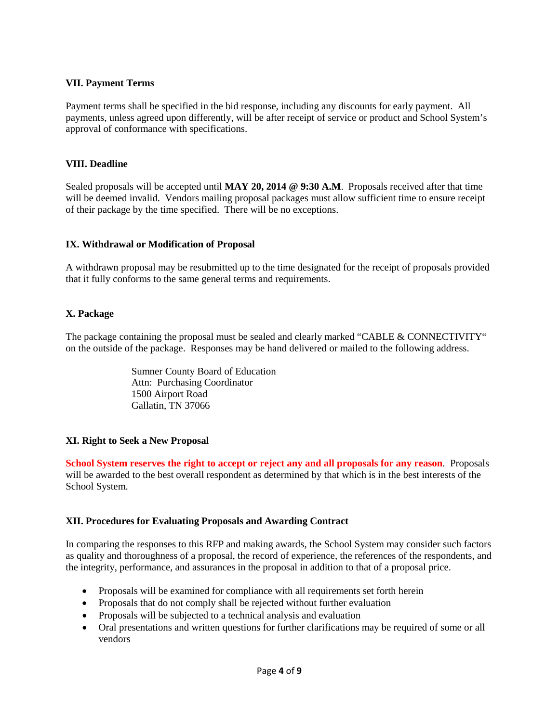#### **VII. Payment Terms**

Payment terms shall be specified in the bid response, including any discounts for early payment. All payments, unless agreed upon differently, will be after receipt of service or product and School System's approval of conformance with specifications.

#### **VIII. Deadline**

Sealed proposals will be accepted until **MAY 20, 2014 @ 9:30 A.M**. Proposals received after that time will be deemed invalid. Vendors mailing proposal packages must allow sufficient time to ensure receipt of their package by the time specified. There will be no exceptions.

#### **IX. Withdrawal or Modification of Proposal**

A withdrawn proposal may be resubmitted up to the time designated for the receipt of proposals provided that it fully conforms to the same general terms and requirements.

#### **X. Package**

The package containing the proposal must be sealed and clearly marked "CABLE & CONNECTIVITY" on the outside of the package. Responses may be hand delivered or mailed to the following address.

> Sumner County Board of Education Attn: Purchasing Coordinator 1500 Airport Road Gallatin, TN 37066

#### **XI. Right to Seek a New Proposal**

**School System reserves the right to accept or reject any and all proposals for any reason**. Proposals will be awarded to the best overall respondent as determined by that which is in the best interests of the School System.

#### **XII. Procedures for Evaluating Proposals and Awarding Contract**

In comparing the responses to this RFP and making awards, the School System may consider such factors as quality and thoroughness of a proposal, the record of experience, the references of the respondents, and the integrity, performance, and assurances in the proposal in addition to that of a proposal price.

- Proposals will be examined for compliance with all requirements set forth herein
- Proposals that do not comply shall be rejected without further evaluation
- Proposals will be subjected to a technical analysis and evaluation
- Oral presentations and written questions for further clarifications may be required of some or all vendors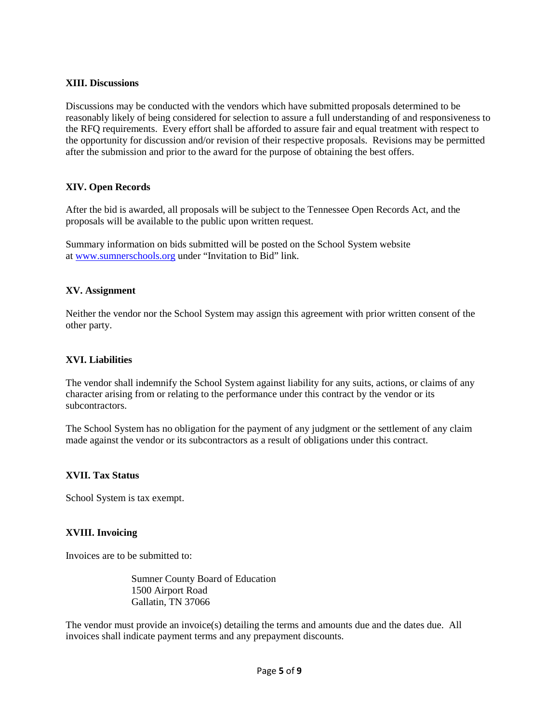#### **XIII. Discussions**

Discussions may be conducted with the vendors which have submitted proposals determined to be reasonably likely of being considered for selection to assure a full understanding of and responsiveness to the RFQ requirements. Every effort shall be afforded to assure fair and equal treatment with respect to the opportunity for discussion and/or revision of their respective proposals. Revisions may be permitted after the submission and prior to the award for the purpose of obtaining the best offers.

#### **XIV. Open Records**

After the bid is awarded, all proposals will be subject to the Tennessee Open Records Act, and the proposals will be available to the public upon written request.

Summary information on bids submitted will be posted on the School System website at [www.sumnerschools.org](http://www.sumnerschools.org/) under "Invitation to Bid" link.

#### **XV. Assignment**

Neither the vendor nor the School System may assign this agreement with prior written consent of the other party.

#### **XVI. Liabilities**

The vendor shall indemnify the School System against liability for any suits, actions, or claims of any character arising from or relating to the performance under this contract by the vendor or its subcontractors.

The School System has no obligation for the payment of any judgment or the settlement of any claim made against the vendor or its subcontractors as a result of obligations under this contract.

#### **XVII. Tax Status**

School System is tax exempt.

#### **XVIII. Invoicing**

Invoices are to be submitted to:

Sumner County Board of Education 1500 Airport Road Gallatin, TN 37066

The vendor must provide an invoice(s) detailing the terms and amounts due and the dates due. All invoices shall indicate payment terms and any prepayment discounts.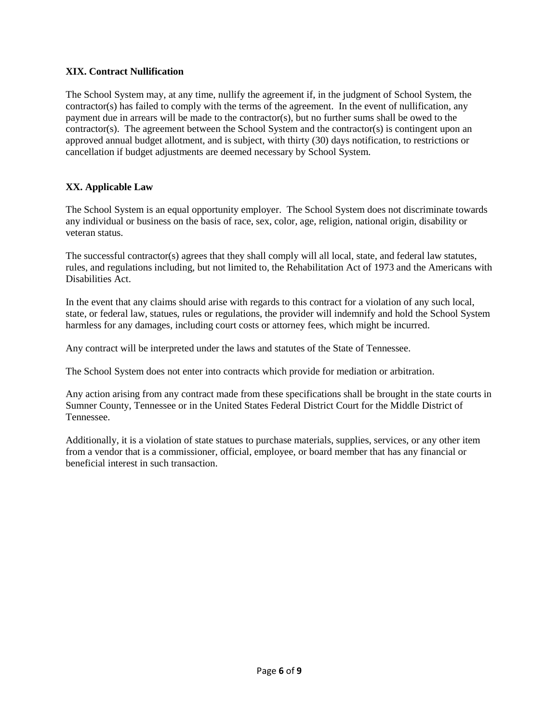#### **XIX. Contract Nullification**

The School System may, at any time, nullify the agreement if, in the judgment of School System, the contractor(s) has failed to comply with the terms of the agreement. In the event of nullification, any payment due in arrears will be made to the contractor(s), but no further sums shall be owed to the  $contractor(s)$ . The agreement between the School System and the contractor(s) is contingent upon an approved annual budget allotment, and is subject, with thirty (30) days notification, to restrictions or cancellation if budget adjustments are deemed necessary by School System.

#### **XX. Applicable Law**

The School System is an equal opportunity employer. The School System does not discriminate towards any individual or business on the basis of race, sex, color, age, religion, national origin, disability or veteran status.

The successful contractor(s) agrees that they shall comply will all local, state, and federal law statutes, rules, and regulations including, but not limited to, the Rehabilitation Act of 1973 and the Americans with Disabilities Act.

In the event that any claims should arise with regards to this contract for a violation of any such local, state, or federal law, statues, rules or regulations, the provider will indemnify and hold the School System harmless for any damages, including court costs or attorney fees, which might be incurred.

Any contract will be interpreted under the laws and statutes of the State of Tennessee.

The School System does not enter into contracts which provide for mediation or arbitration.

Any action arising from any contract made from these specifications shall be brought in the state courts in Sumner County, Tennessee or in the United States Federal District Court for the Middle District of Tennessee.

Additionally, it is a violation of state statues to purchase materials, supplies, services, or any other item from a vendor that is a commissioner, official, employee, or board member that has any financial or beneficial interest in such transaction.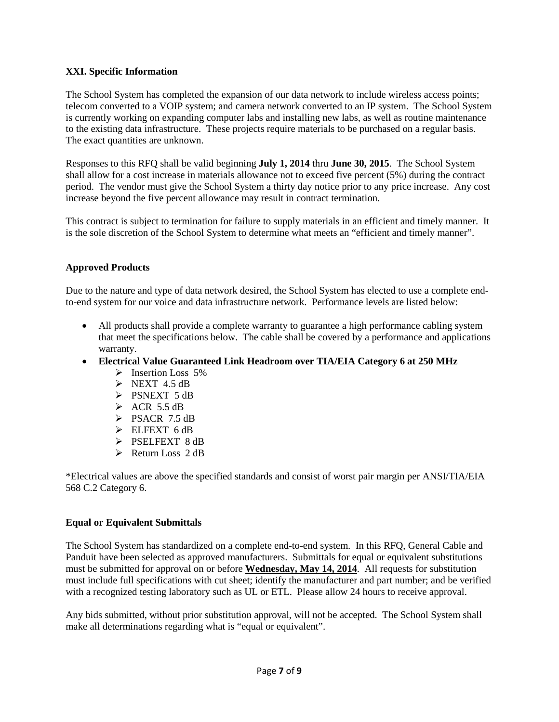#### **XXI. Specific Information**

The School System has completed the expansion of our data network to include wireless access points; telecom converted to a VOIP system; and camera network converted to an IP system. The School System is currently working on expanding computer labs and installing new labs, as well as routine maintenance to the existing data infrastructure. These projects require materials to be purchased on a regular basis. The exact quantities are unknown.

Responses to this RFQ shall be valid beginning **July 1, 2014** thru **June 30, 2015**. The School System shall allow for a cost increase in materials allowance not to exceed five percent (5%) during the contract period. The vendor must give the School System a thirty day notice prior to any price increase. Any cost increase beyond the five percent allowance may result in contract termination.

This contract is subject to termination for failure to supply materials in an efficient and timely manner. It is the sole discretion of the School System to determine what meets an "efficient and timely manner".

#### **Approved Products**

Due to the nature and type of data network desired, the School System has elected to use a complete endto-end system for our voice and data infrastructure network. Performance levels are listed below:

- All products shall provide a complete warranty to guarantee a high performance cabling system that meet the specifications below. The cable shall be covered by a performance and applications warranty.
- **Electrical Value Guaranteed Link Headroom over TIA/EIA Category 6 at 250 MHz**
	- $\triangleright$  Insertion Loss 5%
	- $\triangleright$  NEXT 4.5 dB
	- > PSNEXT 5 dB
	- $\triangleright$  ACR 5.5 dB
	- $\triangleright$  PSACR 7.5 dB
	- ELFEXT 6 dB
	- > PSELFEXT 8 dB
	- $\triangleright$  Return Loss 2 dB

\*Electrical values are above the specified standards and consist of worst pair margin per ANSI/TIA/EIA 568 C.2 Category 6.

#### **Equal or Equivalent Submittals**

The School System has standardized on a complete end-to-end system. In this RFQ, General Cable and Panduit have been selected as approved manufacturers. Submittals for equal or equivalent substitutions must be submitted for approval on or before **Wednesday, May 14, 2014**. All requests for substitution must include full specifications with cut sheet; identify the manufacturer and part number; and be verified with a recognized testing laboratory such as UL or ETL. Please allow 24 hours to receive approval.

Any bids submitted, without prior substitution approval, will not be accepted. The School System shall make all determinations regarding what is "equal or equivalent".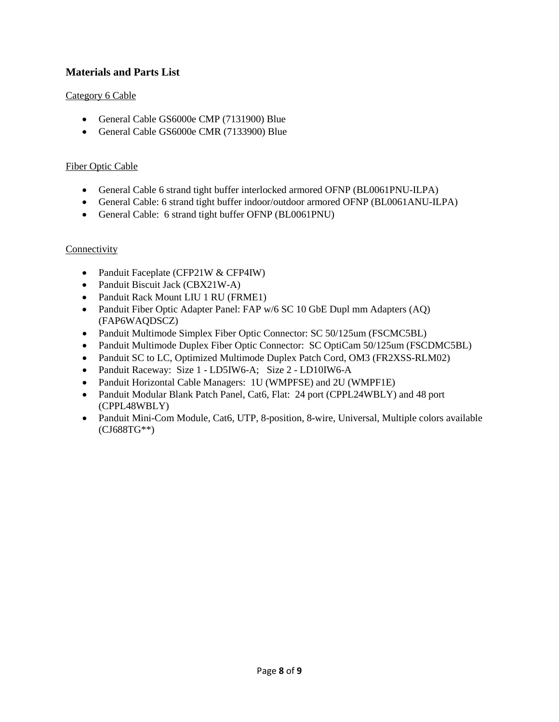# **Materials and Parts List**

### Category 6 Cable

- General Cable GS6000e CMP (7131900) Blue
- General Cable GS6000e CMR (7133900) Blue

#### Fiber Optic Cable

- General Cable 6 strand tight buffer interlocked armored OFNP (BL0061PNU-ILPA)
- General Cable: 6 strand tight buffer indoor/outdoor armored OFNP (BL0061ANU-ILPA)
- General Cable: 6 strand tight buffer OFNP (BL0061PNU)

#### **Connectivity**

- Panduit Faceplate (CFP21W & CFP4IW)
- Panduit Biscuit Jack (CBX21W-A)
- Panduit Rack Mount LIU 1 RU (FRME1)
- Panduit Fiber Optic Adapter Panel: FAP w/6 SC 10 GbE Dupl mm Adapters (AQ) (FAP6WAQDSCZ)
- Panduit Multimode Simplex Fiber Optic Connector: SC 50/125um (FSCMC5BL)
- Panduit Multimode Duplex Fiber Optic Connector: SC OptiCam 50/125um (FSCDMC5BL)
- Panduit SC to LC, Optimized Multimode Duplex Patch Cord, OM3 (FR2XSS-RLM02)
- Panduit Raceway: Size 1 LD5IW6-A; Size 2 LD10IW6-A
- Panduit Horizontal Cable Managers: 1U (WMPFSE) and 2U (WMPF1E)
- Panduit Modular Blank Patch Panel, Cat6, Flat: 24 port (CPPL24WBLY) and 48 port (CPPL48WBLY)
- Panduit Mini-Com Module, Cat6, UTP, 8-position, 8-wire, Universal, Multiple colors available (CJ688TG\*\*)